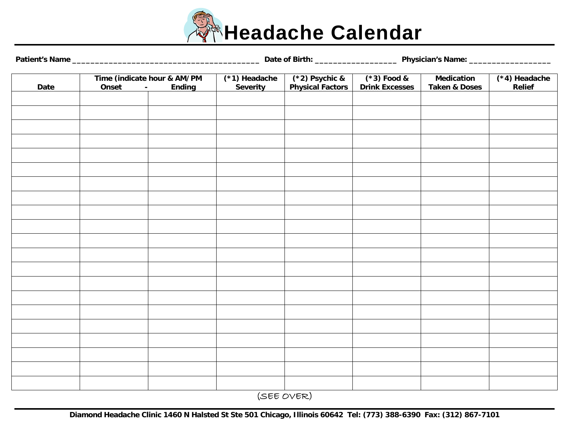

| $(*2)$ Psychic &<br>$(*1)$ Headache<br>$(*3)$ Food &<br>$(*4)$ Headache<br>Time (indicate hour & AM/PM<br><b>Medication</b><br><b>Physical Factors</b><br><b>Drink Excesses</b><br>Onset<br><b>Severity</b><br><b>Taken &amp; Doses</b><br>Relief<br>Date<br><b>Ending</b><br>$\blacksquare$ |  |  |  |  |  |  |  |
|----------------------------------------------------------------------------------------------------------------------------------------------------------------------------------------------------------------------------------------------------------------------------------------------|--|--|--|--|--|--|--|
|                                                                                                                                                                                                                                                                                              |  |  |  |  |  |  |  |
|                                                                                                                                                                                                                                                                                              |  |  |  |  |  |  |  |
|                                                                                                                                                                                                                                                                                              |  |  |  |  |  |  |  |
|                                                                                                                                                                                                                                                                                              |  |  |  |  |  |  |  |
|                                                                                                                                                                                                                                                                                              |  |  |  |  |  |  |  |
|                                                                                                                                                                                                                                                                                              |  |  |  |  |  |  |  |
|                                                                                                                                                                                                                                                                                              |  |  |  |  |  |  |  |
|                                                                                                                                                                                                                                                                                              |  |  |  |  |  |  |  |
|                                                                                                                                                                                                                                                                                              |  |  |  |  |  |  |  |
|                                                                                                                                                                                                                                                                                              |  |  |  |  |  |  |  |
|                                                                                                                                                                                                                                                                                              |  |  |  |  |  |  |  |
|                                                                                                                                                                                                                                                                                              |  |  |  |  |  |  |  |
|                                                                                                                                                                                                                                                                                              |  |  |  |  |  |  |  |
|                                                                                                                                                                                                                                                                                              |  |  |  |  |  |  |  |
|                                                                                                                                                                                                                                                                                              |  |  |  |  |  |  |  |
|                                                                                                                                                                                                                                                                                              |  |  |  |  |  |  |  |
|                                                                                                                                                                                                                                                                                              |  |  |  |  |  |  |  |
|                                                                                                                                                                                                                                                                                              |  |  |  |  |  |  |  |
|                                                                                                                                                                                                                                                                                              |  |  |  |  |  |  |  |
|                                                                                                                                                                                                                                                                                              |  |  |  |  |  |  |  |
|                                                                                                                                                                                                                                                                                              |  |  |  |  |  |  |  |